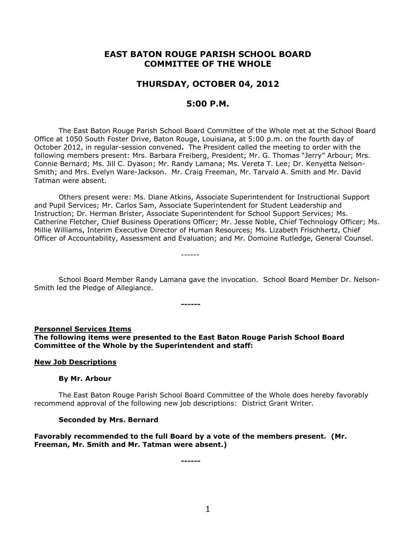# **EAST BATON ROUGE PARISH SCHOOL BOARD COMMITTEE OF THE WHOLE**

# **THURSDAY, OCTOBER 04, 2012**

# **5:00 P.M.**

The East Baton Rouge Parish School Board Committee of the Whole met at the School Board Office at 1050 South Foster Drive, Baton Rouge, Louisiana, at 5:00 p.m. on the fourth day of October 2012, in regular-session convened**.** The President called the meeting to order with the following members present: Mrs. Barbara Freiberg, President; Mr. G. Thomas "Jerry" Arbour; Mrs. Connie Bernard; Ms. Jill C. Dyason; Mr. Randy Lamana; Ms. Vereta T. Lee; Dr. Kenyetta Nelson-Smith; and Mrs. Evelyn Ware-Jackson. Mr. Craig Freeman, Mr. Tarvald A. Smith and Mr. David Tatman were absent.

Others present were: Ms. Diane Atkins, Associate Superintendent for Instructional Support and Pupil Services; Mr. Carlos Sam, Associate Superintendent for Student Leadership and Instruction; Dr. Herman Brister, Associate Superintendent for School Support Services; Ms. Catherine Fletcher, Chief Business Operations Officer; Mr. Jesse Noble, Chief Technology Officer; Ms. Millie Williams, Interim Executive Director of Human Resources; Ms. Lizabeth Frischhertz, Chief Officer of Accountability, Assessment and Evaluation; and Mr. Domoine Rutledge, General Counsel.

------

School Board Member Randy Lamana gave the invocation. School Board Member Dr. Nelson-Smith led the Pledge of Allegiance.

**------**

#### **Personnel Services Items**

**The following items were presented to the East Baton Rouge Parish School Board Committee of the Whole by the Superintendent and staff:**

#### **New Job Descriptions**

#### **By Mr. Arbour**

The East Baton Rouge Parish School Board Committee of the Whole does hereby favorably recommend approval of the following new job descriptions: District Grant Writer.

#### **Seconded by Mrs. Bernard**

**Favorably recommended to the full Board by a vote of the members present. (Mr. Freeman, Mr. Smith and Mr. Tatman were absent.)**

**------**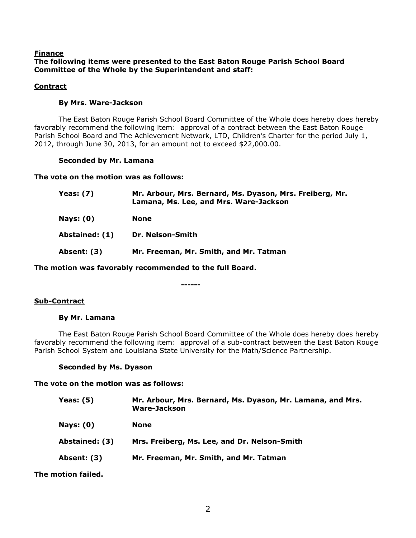### **Finance The following items were presented to the East Baton Rouge Parish School Board Committee of the Whole by the Superintendent and staff:**

# **Contract**

# **By Mrs. Ware-Jackson**

The East Baton Rouge Parish School Board Committee of the Whole does hereby does hereby favorably recommend the following item: approval of a contract between the East Baton Rouge Parish School Board and The Achievement Network, LTD, Children's Charter for the period July 1, 2012, through June 30, 2013, for an amount not to exceed \$22,000.00.

### **Seconded by Mr. Lamana**

**The vote on the motion was as follows:**

| <b>Yeas: (7)</b> | Mr. Arbour, Mrs. Bernard, Ms. Dyason, Mrs. Freiberg, Mr.<br>Lamana, Ms. Lee, and Mrs. Ware-Jackson |
|------------------|----------------------------------------------------------------------------------------------------|
| Nays: $(0)$      | None                                                                                               |
| Abstained: (1)   | Dr. Nelson-Smith                                                                                   |
| Absent: (3)      | Mr. Freeman, Mr. Smith, and Mr. Tatman                                                             |
|                  |                                                                                                    |

**The motion was favorably recommended to the full Board.**

#### **------**

# **Sub-Contract**

### **By Mr. Lamana**

The East Baton Rouge Parish School Board Committee of the Whole does hereby does hereby favorably recommend the following item: approval of a sub-contract between the East Baton Rouge Parish School System and Louisiana State University for the Math/Science Partnership.

### **Seconded by Ms. Dyason**

### **The vote on the motion was as follows:**

| Yeas: (5)        | Mr. Arbour, Mrs. Bernard, Ms. Dyason, Mr. Lamana, and Mrs.<br><b>Ware-Jackson</b> |
|------------------|-----------------------------------------------------------------------------------|
| <b>Nays: (0)</b> | <b>None</b>                                                                       |
| Abstained: (3)   | Mrs. Freiberg, Ms. Lee, and Dr. Nelson-Smith                                      |
| Absent: (3)      | Mr. Freeman, Mr. Smith, and Mr. Tatman                                            |
|                  |                                                                                   |

**The motion failed.**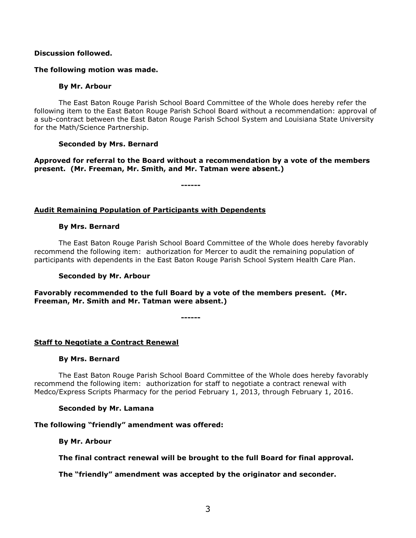### **Discussion followed.**

#### **The following motion was made.**

#### **By Mr. Arbour**

The East Baton Rouge Parish School Board Committee of the Whole does hereby refer the following item to the East Baton Rouge Parish School Board without a recommendation: approval of a sub-contract between the East Baton Rouge Parish School System and Louisiana State University for the Math/Science Partnership.

### **Seconded by Mrs. Bernard**

**Approved for referral to the Board without a recommendation by a vote of the members present. (Mr. Freeman, Mr. Smith, and Mr. Tatman were absent.)** 

**------**

#### **Audit Remaining Population of Participants with Dependents**

#### **By Mrs. Bernard**

The East Baton Rouge Parish School Board Committee of the Whole does hereby favorably recommend the following item: authorization for Mercer to audit the remaining population of participants with dependents in the East Baton Rouge Parish School System Health Care Plan.

#### **Seconded by Mr. Arbour**

**Favorably recommended to the full Board by a vote of the members present. (Mr. Freeman, Mr. Smith and Mr. Tatman were absent.)**

**------**

### **Staff to Negotiate a Contract Renewal**

#### **By Mrs. Bernard**

The East Baton Rouge Parish School Board Committee of the Whole does hereby favorably recommend the following item: authorization for staff to negotiate a contract renewal with Medco/Express Scripts Pharmacy for the period February 1, 2013, through February 1, 2016.

#### **Seconded by Mr. Lamana**

### **The following "friendly" amendment was offered:**

**By Mr. Arbour**

**The final contract renewal will be brought to the full Board for final approval.**

### **The "friendly" amendment was accepted by the originator and seconder.**